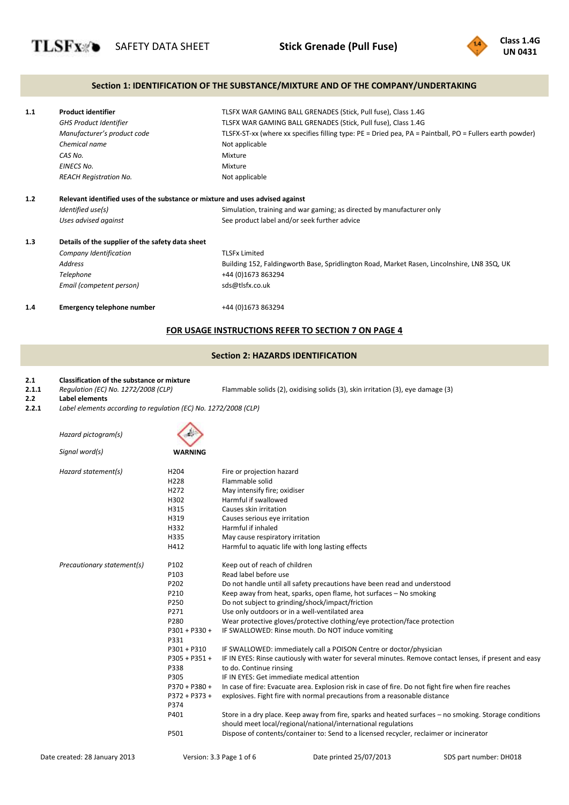

## **Section 1: IDENTIFICATION OF THE SUBSTANCE/MIXTURE AND OF THE COMPANY/UNDERTAKING**

| 1.1 | <b>Product identifier</b>                                                     | TLSFX WAR GAMING BALL GRENADES (Stick, Pull fuse), Class 1.4G                                            |
|-----|-------------------------------------------------------------------------------|----------------------------------------------------------------------------------------------------------|
|     | <b>GHS Product Identifier</b>                                                 | TLSFX WAR GAMING BALL GRENADES (Stick, Pull fuse), Class 1.4G                                            |
|     | Manufacturer's product code                                                   | TLSFX-ST-xx (where xx specifies filling type: PE = Dried pea, PA = Paintball, PO = Fullers earth powder) |
|     | Chemical name                                                                 | Not applicable                                                                                           |
|     | CAS No.                                                                       | Mixture                                                                                                  |
|     | <b>EINECS No.</b>                                                             | Mixture                                                                                                  |
|     | <b>REACH Registration No.</b>                                                 | Not applicable                                                                                           |
| 1.2 | Relevant identified uses of the substance or mixture and uses advised against |                                                                                                          |
|     | Identified use(s)                                                             | Simulation, training and war gaming; as directed by manufacturer only                                    |
|     | Uses advised against                                                          | See product label and/or seek further advice                                                             |
| 1.3 | Details of the supplier of the safety data sheet                              |                                                                                                          |
|     | Company Identification                                                        | <b>TLSFx Limited</b>                                                                                     |
|     | <b>Address</b>                                                                | Building 152, Faldingworth Base, Spridlington Road, Market Rasen, Lincolnshire, LN8 3SQ, UK              |
|     | Telephone                                                                     | +44 (0)1673 863294                                                                                       |
|     | Email (competent person)                                                      | sds@tlsfx.co.uk                                                                                          |
| 1.4 | <b>Emergency telephone number</b>                                             | +44 (0)1673 863294                                                                                       |

# **FOR USAGE INSTRUCTIONS REFER TO SECTION 7 ON PAGE 4**

# **Section 2: HAZARDS IDENTIFICATION**

#### **2.1 Classification of the substance or mixture**

| 2.1.1 | Regulation (EC) No. 1272/2008 (CLP) | Flammable solids (2), oxidising solids (3), skin irritation (3), eye damage (3) |
|-------|-------------------------------------|---------------------------------------------------------------------------------|
|-------|-------------------------------------|---------------------------------------------------------------------------------|

- **2.2 Label elements**
- **2.2.1** *Label elements according to regulation (EC) No. 1272/2008 (CLP)*

*Hazard pictogram(s) Signal word(s)* **WARNING** *Hazard statement(s)* H204 Fire or projection hazard H228 Flammable solid H272 May intensify fire; oxidiser<br>
Harmful if swallowed Harmful if swallowed H315 Causes skin irritation<br>
H319 Causes serious eve in Causes serious eye irritation Harmful if inhaled<br>
H335 May cause respira May cause respiratory irritation H412 Harmful to aquatic life with long lasting effects *Precautionary statement(s)* P102 Keep out of reach of children P103 Read label before use P202 Do not handle until all safety precautions have been read and understood<br>P210 Keep away from heat, sparks, open flame, hot surfaces – No smoking Keep away from heat, sparks, open flame, hot surfaces – No smoking P250 Do not subject to grinding/shock/impact/friction<br>P271 Use only outdoors or in a well-ventilated area Use only outdoors or in a well-ventilated area P280 Wear protective gloves/protective clothing/eye protection/face protection P301 + P330 + IF SWALLOWED: Rinse mouth. Do NOT induce vomiting P331<br>P301 + P310 IF SWALLOWED: immediately call a POISON Centre or doctor/physician P305 + P351 + IF IN EYES: Rinse cautiously with water for several minutes. Remove contact lenses, if present and easy P338<br>P305 to do. Continue rinsing IF IN EYES: Get immediate medical attention P370 + P380 + P372 + P373 + P374<br>P401 In case of fire: Evacuate area. Explosion risk in case of fire. Do not fight fire when fire reaches explosives. Fight fire with normal precautions from a reasonable distance Store in a dry place. Keep away from fire, sparks and heated surfaces - no smoking. Storage conditions should meet local/regional/national/international regulations P501 Dispose of contents/container to: Send to a licensed recycler, reclaimer or incinerator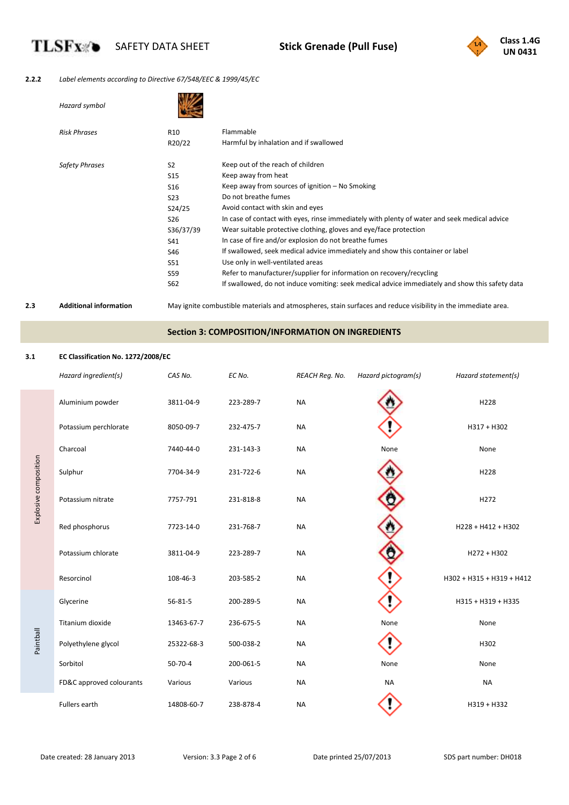

## **2.2.2** *Label elements according to Directive 67/548/EEC & 1999/45/EC*

| Hazard symbol         |                 |                                                                                                 |
|-----------------------|-----------------|-------------------------------------------------------------------------------------------------|
| <b>Risk Phrases</b>   | R <sub>10</sub> | Flammable                                                                                       |
|                       | R20/22          | Harmful by inhalation and if swallowed                                                          |
| <b>Safety Phrases</b> | S <sub>2</sub>  | Keep out of the reach of children                                                               |
|                       | S <sub>15</sub> | Keep away from heat                                                                             |
|                       | S <sub>16</sub> | Keep away from sources of ignition - No Smoking                                                 |
|                       | S <sub>23</sub> | Do not breathe fumes                                                                            |
|                       | S24/25          | Avoid contact with skin and eyes                                                                |
|                       | S <sub>26</sub> | In case of contact with eyes, rinse immediately with plenty of water and seek medical advice    |
|                       | S36/37/39       | Wear suitable protective clothing, gloves and eye/face protection                               |
|                       | S41             | In case of fire and/or explosion do not breathe fumes                                           |
|                       | S46             | If swallowed, seek medical advice immediately and show this container or label                  |
|                       | S51             | Use only in well-ventilated areas                                                               |
|                       | S59             | Refer to manufacturer/supplier for information on recovery/recycling                            |
|                       | S62             | If swallowed, do not induce vomiting: seek medical advice immediately and show this safety data |
|                       |                 |                                                                                                 |

**TLSFx** 

**2.3 Additional information** May ignite combustible materials and atmospheres, stain surfaces and reduce visibility in the immediate area.

# **Section 3: COMPOSITION/INFORMATION ON INGREDIENTS**

## **3.1 EC Classification No. 1272/2008/EC**

|                       | Hazard ingredient(s)     | CAS No.       | EC No.    | REACH Req. No. | Hazard pictogram(s) | Hazard statement(s)       |
|-----------------------|--------------------------|---------------|-----------|----------------|---------------------|---------------------------|
|                       | Aluminium powder         | 3811-04-9     | 223-289-7 | <b>NA</b>      |                     | H228                      |
|                       | Potassium perchlorate    | 8050-09-7     | 232-475-7 | <b>NA</b>      |                     | H317 + H302               |
|                       | Charcoal                 | 7440-44-0     | 231-143-3 | <b>NA</b>      | None                | None                      |
| Explosive composition | Sulphur                  | 7704-34-9     | 231-722-6 | <b>NA</b>      |                     | H228                      |
|                       | Potassium nitrate        | 7757-791      | 231-818-8 | <b>NA</b>      |                     | H272                      |
|                       | Red phosphorus           | 7723-14-0     | 231-768-7 | <b>NA</b>      |                     | H228 + H412 + H302        |
|                       | Potassium chlorate       | 3811-04-9     | 223-289-7 | <b>NA</b>      |                     | H272 + H302               |
|                       | Resorcinol               | 108-46-3      | 203-585-2 | <b>NA</b>      |                     | H302 + H315 + H319 + H412 |
|                       | Glycerine                | $56 - 81 - 5$ | 200-289-5 | <b>NA</b>      |                     | H315 + H319 + H335        |
|                       | Titanium dioxide         | 13463-67-7    | 236-675-5 | <b>NA</b>      | None                | None                      |
| Paintball             | Polyethylene glycol      | 25322-68-3    | 500-038-2 | <b>NA</b>      |                     | H302                      |
|                       | Sorbitol                 | $50-70-4$     | 200-061-5 | <b>NA</b>      | None                | None                      |
|                       | FD&C approved colourants | Various       | Various   | <b>NA</b>      | <b>NA</b>           | <b>NA</b>                 |
|                       | Fullers earth            | 14808-60-7    | 238-878-4 | <b>NA</b>      |                     | H319 + H332               |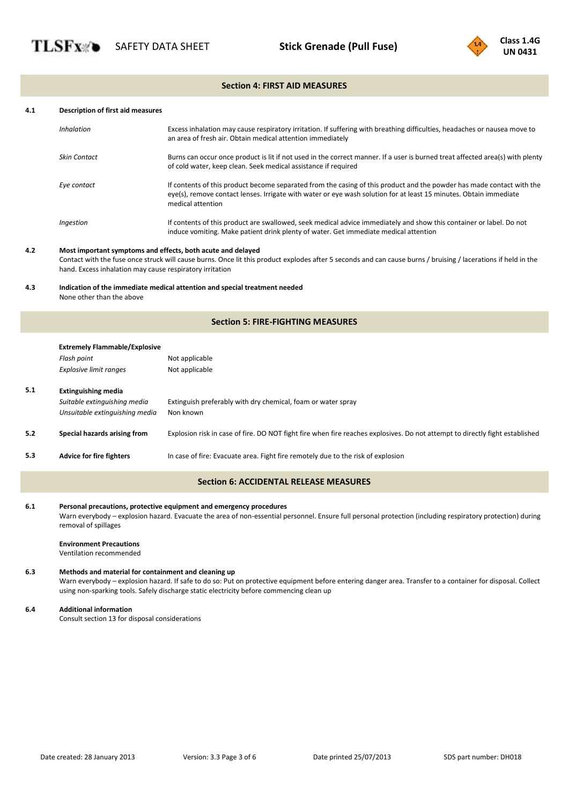

## **Section 4: FIRST AID MEASURES**

#### **4.1 Description of first aid measures**

| <b>Inhalation</b>   | Excess inhalation may cause respiratory irritation. If suffering with breathing difficulties, headaches or nausea move to<br>an area of fresh air. Obtain medical attention immediately                                                                         |
|---------------------|-----------------------------------------------------------------------------------------------------------------------------------------------------------------------------------------------------------------------------------------------------------------|
| <b>Skin Contact</b> | Burns can occur once product is lit if not used in the correct manner. If a user is burned treat affected area(s) with plenty<br>of cold water, keep clean. Seek medical assistance if required                                                                 |
| Eye contact         | If contents of this product become separated from the casing of this product and the powder has made contact with the<br>eye(s), remove contact lenses. Irrigate with water or eye wash solution for at least 15 minutes. Obtain immediate<br>medical attention |
| Ingestion           | If contents of this product are swallowed, seek medical advice immediately and show this container or label. Do not<br>induce vomiting. Make patient drink plenty of water. Get immediate medical attention                                                     |

### **4.2 Most important symptoms and effects, both acute and delayed**

Contact with the fuse once struck will cause burns. Once lit this product explodes after 5 seconds and can cause burns / bruising / lacerations if held in the hand. Excess inhalation may cause respiratory irritation

### **4.3 Indication of the immediate medical attention and special treatment needed** None other than the above

## **Section 5: FIRE-FIGHTING MEASURES**

|     | <b>Extremely Flammable/Explosive</b> |                                                                                                                              |
|-----|--------------------------------------|------------------------------------------------------------------------------------------------------------------------------|
|     | Flash point                          | Not applicable                                                                                                               |
|     | <b>Explosive limit ranges</b>        | Not applicable                                                                                                               |
| 5.1 | <b>Extinguishing media</b>           |                                                                                                                              |
|     | Suitable extinguishing media         | Extinguish preferably with dry chemical, foam or water spray                                                                 |
|     | Unsuitable extinguishing media       | Non known                                                                                                                    |
| 5.2 | Special hazards arising from         | Explosion risk in case of fire. DO NOT fight fire when fire reaches explosives. Do not attempt to directly fight established |
| 5.3 | <b>Advice for fire fighters</b>      | In case of fire: Evacuate area. Fight fire remotely due to the risk of explosion                                             |
|     |                                      | <b>Section 6: ACCIDENTAL RELEASE MEASURES</b>                                                                                |

# **6.1 Personal precautions, protective equipment and emergency procedures**

Warn everybody - explosion hazard. Evacuate the area of non-essential personnel. Ensure full personal protection (including respiratory protection) during removal of spillages

#### **Environment Precautions**

Ventilation recommended

## **6.3 Methods and material for containment and cleaning up**

Warn everybody – explosion hazard. If safe to do so: Put on protective equipment before entering danger area. Transfer to a container for disposal. Collect using non-sparking tools. Safely discharge static electricity before commencing clean up

#### **6.4 Additional information**

Consult section 13 for disposal considerations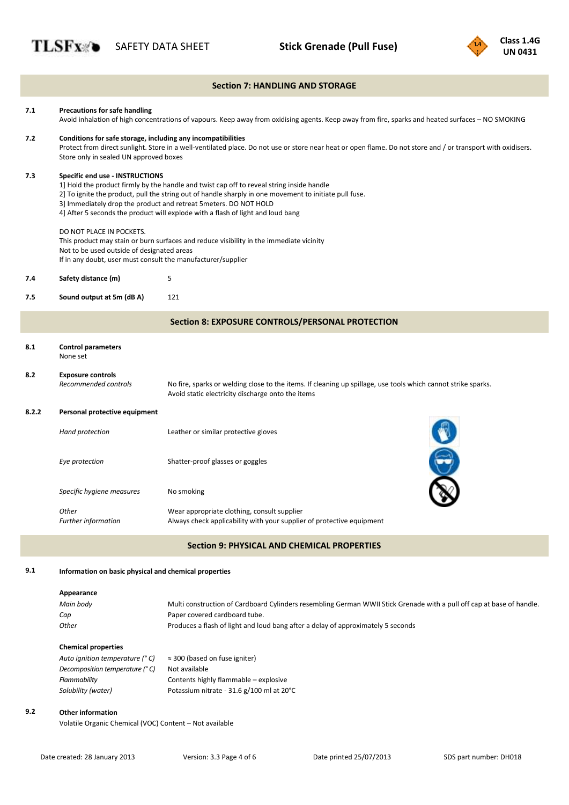

|       |                                                                                                                                                                                                                                                                                                                                                                                                | <b>Section 7: HANDLING AND STORAGE</b>                                                                                                                             |  |
|-------|------------------------------------------------------------------------------------------------------------------------------------------------------------------------------------------------------------------------------------------------------------------------------------------------------------------------------------------------------------------------------------------------|--------------------------------------------------------------------------------------------------------------------------------------------------------------------|--|
| 7.1   | <b>Precautions for safe handling</b><br>Avoid inhalation of high concentrations of vapours. Keep away from oxidising agents. Keep away from fire, sparks and heated surfaces - NO SMOKING                                                                                                                                                                                                      |                                                                                                                                                                    |  |
| 7.2   | Conditions for safe storage, including any incompatibilities<br>Protect from direct sunlight. Store in a well-ventilated place. Do not use or store near heat or open flame. Do not store and / or transport with oxidisers.<br>Store only in sealed UN approved boxes                                                                                                                         |                                                                                                                                                                    |  |
| 7.3   | Specific end use - INSTRUCTIONS<br>1] Hold the product firmly by the handle and twist cap off to reveal string inside handle<br>2] To ignite the product, pull the string out of handle sharply in one movement to initiate pull fuse.<br>3] Immediately drop the product and retreat 5 meters. DO NOT HOLD<br>4] After 5 seconds the product will explode with a flash of light and loud bang |                                                                                                                                                                    |  |
|       | DO NOT PLACE IN POCKETS.<br>This product may stain or burn surfaces and reduce visibility in the immediate vicinity<br>Not to be used outside of designated areas<br>If in any doubt, user must consult the manufacturer/supplier                                                                                                                                                              |                                                                                                                                                                    |  |
| 7.4   | Safety distance (m)                                                                                                                                                                                                                                                                                                                                                                            | 5                                                                                                                                                                  |  |
| 7.5   | Sound output at 5m (dB A)                                                                                                                                                                                                                                                                                                                                                                      | 121                                                                                                                                                                |  |
|       |                                                                                                                                                                                                                                                                                                                                                                                                | <b>Section 8: EXPOSURE CONTROLS/PERSONAL PROTECTION</b>                                                                                                            |  |
| 8.1   | <b>Control parameters</b><br>None set                                                                                                                                                                                                                                                                                                                                                          |                                                                                                                                                                    |  |
| 8.2   | <b>Exposure controls</b><br>Recommended controls                                                                                                                                                                                                                                                                                                                                               | No fire, sparks or welding close to the items. If cleaning up spillage, use tools which cannot strike sparks.<br>Avoid static electricity discharge onto the items |  |
| 8.2.2 | Personal protective equipment                                                                                                                                                                                                                                                                                                                                                                  |                                                                                                                                                                    |  |
|       | Hand protection                                                                                                                                                                                                                                                                                                                                                                                | Leather or similar protective gloves                                                                                                                               |  |
|       | Eye protection                                                                                                                                                                                                                                                                                                                                                                                 | $\mathbf{C}$<br>Shatter-proof glasses or goggles                                                                                                                   |  |
|       | Specific hygiene measures                                                                                                                                                                                                                                                                                                                                                                      | No smoking                                                                                                                                                         |  |
|       | Other<br>Further information                                                                                                                                                                                                                                                                                                                                                                   | Wear appropriate clothing, consult supplier<br>Always check applicability with your supplier of protective equipment                                               |  |
|       |                                                                                                                                                                                                                                                                                                                                                                                                | <b>Section 9: PHYSICAL AND CHEMICAL PROPERTIES</b>                                                                                                                 |  |
| 9.1   | Information on basic physical and chemical properties                                                                                                                                                                                                                                                                                                                                          |                                                                                                                                                                    |  |

# **Appearance**

| Main body | Multi construction of Cardboard Cylinders resembling German WWII Stick Grenade with a pull off cap at base of handle. |
|-----------|-----------------------------------------------------------------------------------------------------------------------|
| Cap       | Paper covered cardboard tube.                                                                                         |
| Other     | Produces a flash of light and loud bang after a delay of approximately 5 seconds                                      |

# **Chemical properties**

| Auto ignition temperature (° C) | $\approx$ 300 (based on fuse igniter)     |
|---------------------------------|-------------------------------------------|
| Decomposition temperature (° C) | Not available                             |
| Flammability                    | Contents highly flammable - explosive     |
| Solubility (water)              | Potassium nitrate - 31.6 g/100 ml at 20°C |

# **9.2 Other information**

Volatile Organic Chemical (VOC) Content – Not available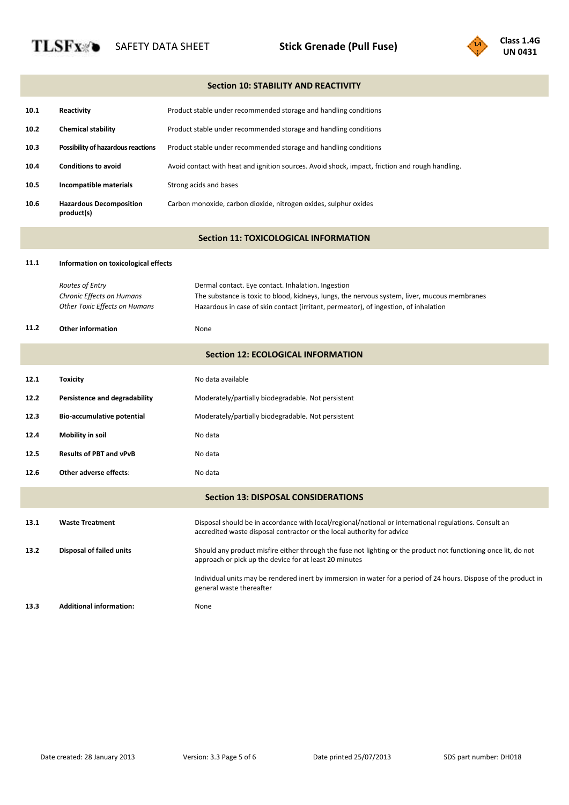**TLSFx**®



|      | <b>Section 10: STABILITY AND REACTIVITY</b>                                   |                                                                                                                                                                                                                                            |  |  |
|------|-------------------------------------------------------------------------------|--------------------------------------------------------------------------------------------------------------------------------------------------------------------------------------------------------------------------------------------|--|--|
| 10.1 | Reactivity                                                                    | Product stable under recommended storage and handling conditions                                                                                                                                                                           |  |  |
| 10.2 | <b>Chemical stability</b>                                                     | Product stable under recommended storage and handling conditions                                                                                                                                                                           |  |  |
| 10.3 | Possibility of hazardous reactions                                            | Product stable under recommended storage and handling conditions                                                                                                                                                                           |  |  |
| 10.4 | <b>Conditions to avoid</b>                                                    | Avoid contact with heat and ignition sources. Avoid shock, impact, friction and rough handling.                                                                                                                                            |  |  |
| 10.5 | Incompatible materials                                                        | Strong acids and bases                                                                                                                                                                                                                     |  |  |
| 10.6 | <b>Hazardous Decomposition</b><br>product(s)                                  | Carbon monoxide, carbon dioxide, nitrogen oxides, sulphur oxides                                                                                                                                                                           |  |  |
|      |                                                                               | <b>Section 11: TOXICOLOGICAL INFORMATION</b>                                                                                                                                                                                               |  |  |
| 11.1 | Information on toxicological effects                                          |                                                                                                                                                                                                                                            |  |  |
|      | Routes of Entry<br>Chronic Effects on Humans<br>Other Toxic Effects on Humans | Dermal contact. Eye contact. Inhalation. Ingestion<br>The substance is toxic to blood, kidneys, lungs, the nervous system, liver, mucous membranes<br>Hazardous in case of skin contact (irritant, permeator), of ingestion, of inhalation |  |  |
| 11.2 | <b>Other information</b>                                                      | None                                                                                                                                                                                                                                       |  |  |
|      |                                                                               | <b>Section 12: ECOLOGICAL INFORMATION</b>                                                                                                                                                                                                  |  |  |
| 12.1 | <b>Toxicity</b>                                                               | No data available                                                                                                                                                                                                                          |  |  |
| 12.2 | Persistence and degradability                                                 | Moderately/partially biodegradable. Not persistent                                                                                                                                                                                         |  |  |
| 12.3 | Bio-accumulative potential                                                    | Moderately/partially biodegradable. Not persistent                                                                                                                                                                                         |  |  |
| 12.4 | <b>Mobility in soil</b>                                                       | No data                                                                                                                                                                                                                                    |  |  |
| 12.5 | <b>Results of PBT and vPvB</b>                                                | No data                                                                                                                                                                                                                                    |  |  |
| 12.6 | Other adverse effects:                                                        | No data                                                                                                                                                                                                                                    |  |  |
|      |                                                                               | <b>Section 13: DISPOSAL CONSIDERATIONS</b>                                                                                                                                                                                                 |  |  |
| 13.1 | <b>Waste Treatment</b>                                                        | Disposal should be in accordance with local/regional/national or international regulations. Consult an<br>accredited waste disposal contractor or the local authority for advice                                                           |  |  |
| 13.2 | Disposal of failed units                                                      | Should any product misfire either through the fuse not lighting or the product not functioning once lit, do not<br>approach or pick up the device for at least 20 minutes                                                                  |  |  |
|      |                                                                               | Individual units may be rendered inert by immersion in water for a period of 24 hours. Dispose of the product in<br>general waste thereafter                                                                                               |  |  |
| 13.3 | <b>Additional information:</b>                                                | None                                                                                                                                                                                                                                       |  |  |